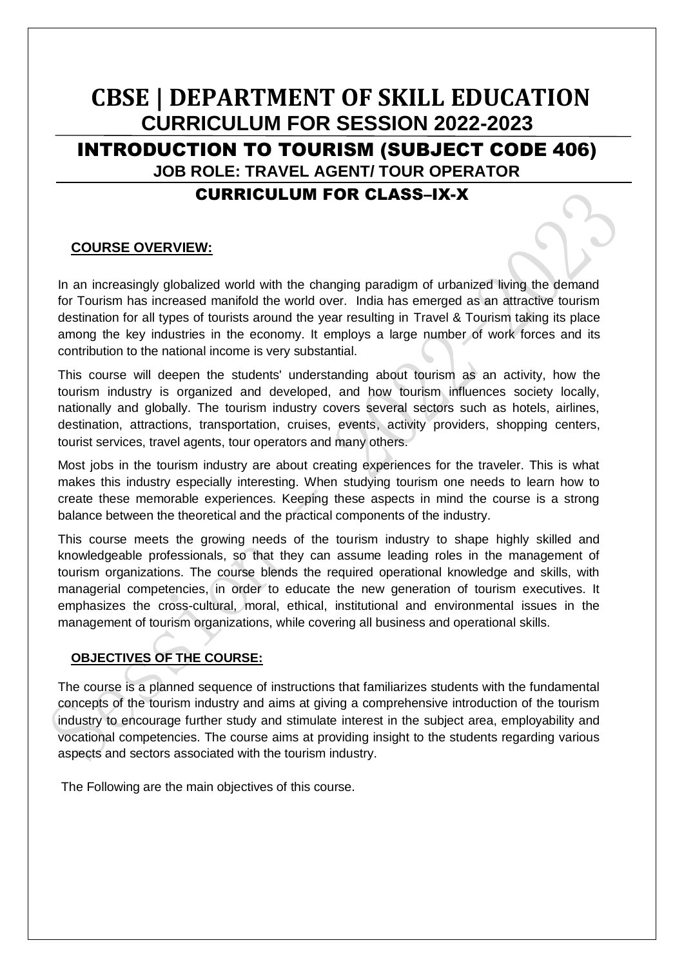# **CBSE | DEPARTMENT OF SKILL EDUCATION CURRICULUM FOR SESSION 2022-2023**  INTRODUCTION TO TOURISM (SUBJECT CODE 406) **JOB ROLE: TRAVEL AGENT/ TOUR OPERATOR** CURRICULUM FOR CLASS–IX-X

# **COURSE OVERVIEW:**

In an increasingly globalized world with the changing paradigm of urbanized living the demand for Tourism has increased manifold the world over. India has emerged as an attractive tourism destination for all types of tourists around the year resulting in Travel & Tourism taking its place among the key industries in the economy. It employs a large number of work forces and its contribution to the national income is very substantial.

This course will deepen the students' understanding about tourism as an activity, how the tourism industry is organized and developed, and how tourism influences society locally, nationally and globally. The tourism industry covers several sectors such as hotels, airlines, destination, attractions, transportation, cruises, events, activity providers, shopping centers, tourist services, travel agents, tour operators and many others.

Most jobs in the tourism industry are about creating experiences for the traveler. This is what makes this industry especially interesting. When studying tourism one needs to learn how to create these memorable experiences. Keeping these aspects in mind the course is a strong balance between the theoretical and the practical components of the industry.

This course meets the growing needs of the tourism industry to shape highly skilled and knowledgeable professionals, so that they can assume leading roles in the management of tourism organizations. The course blends the required operational knowledge and skills, with managerial competencies, in order to educate the new generation of tourism executives. It emphasizes the cross-cultural, moral, ethical, institutional and environmental issues in the management of tourism organizations, while covering all business and operational skills.

# **OBJECTIVES OF THE COURSE:**

The course is a planned sequence of instructions that familiarizes students with the fundamental concepts of the tourism industry and aims at giving a comprehensive introduction of the tourism industry to encourage further study and stimulate interest in the subject area, employability and vocational competencies. The course aims at providing insight to the students regarding various aspects and sectors associated with the tourism industry.

The Following are the main objectives of this course.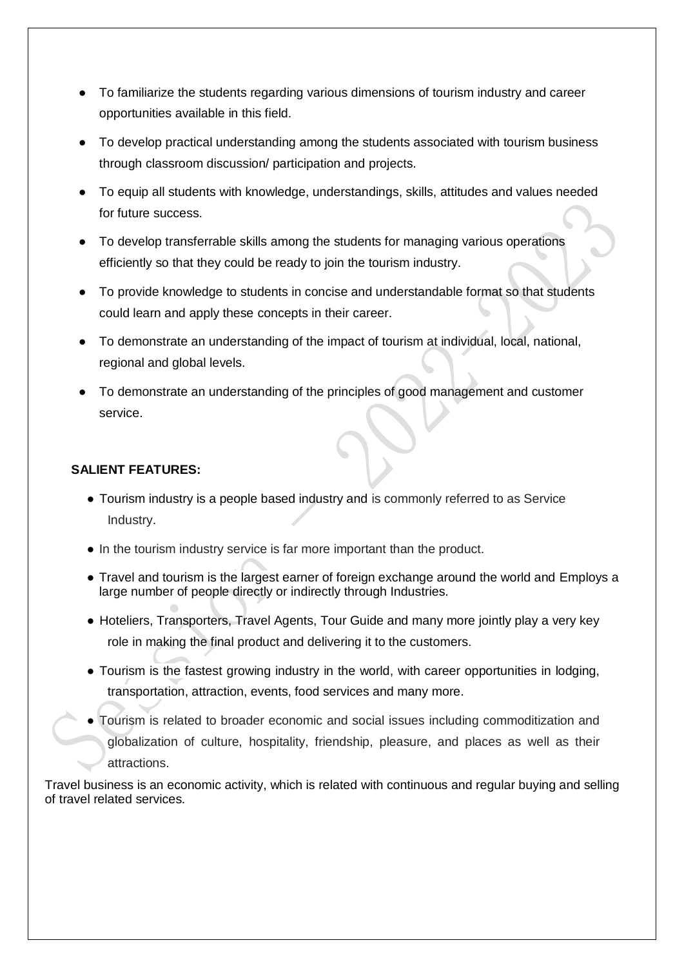- To familiarize the students regarding various dimensions of tourism industry and career opportunities available in this field.
- To develop practical understanding among the students associated with tourism business through classroom discussion/ participation and projects.
- To equip all students with knowledge, understandings, skills, attitudes and values needed for future success.
- To develop transferrable skills among the students for managing various operations efficiently so that they could be ready to join the tourism industry.
- To provide knowledge to students in concise and understandable format so that students could learn and apply these concepts in their career.
- To demonstrate an understanding of the impact of tourism at individual, local, national, regional and global levels.
- To demonstrate an understanding of the principles of good management and customer service.

# **SALIENT FEATURES:**

- Tourism industry is a people based industry and is commonly referred to as Service Industry.
- In the tourism industry service is far more important than the product.
- Travel and tourism is the largest earner of foreign exchange around the world and Employs a large number of people directly or indirectly through Industries.
- Hoteliers, Transporters, Travel Agents, Tour Guide and many more jointly play a very key role in making the final product and delivering it to the customers.
- Tourism is the fastest growing industry in the world, with career opportunities in lodging, transportation, attraction, events, food services and many more.
- Tourism is related to broader economic and social issues including commoditization and globalization of culture, hospitality, friendship, pleasure, and places as well as their attractions.

Travel business is an economic activity, which is related with continuous and regular buying and selling of travel related services.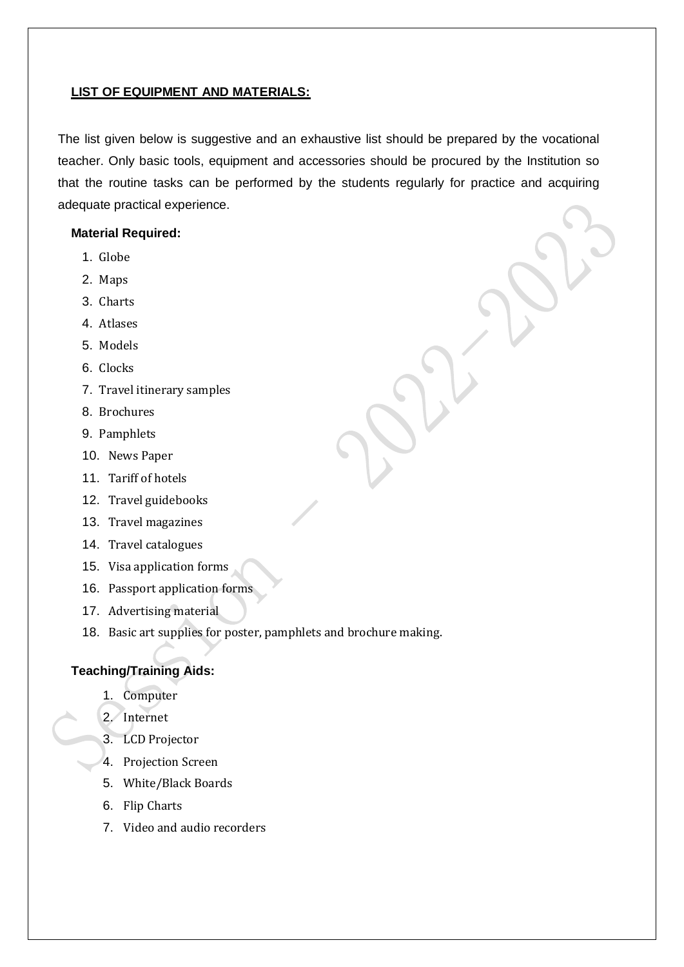#### **LIST OF EQUIPMENT AND MATERIALS:**

The list given below is suggestive and an exhaustive list should be prepared by the vocational teacher. Only basic tools, equipment and accessories should be procured by the Institution so that the routine tasks can be performed by the students regularly for practice and acquiring adequate practical experience.

## **Material Required:**

- 1. Globe
- 2. Maps
- 3. Charts
- 4. Atlases
- 5. Models
- 6. Clocks
- 7. Travel itinerary samples
- 8. Brochures
- 9. Pamphlets
- 10. News Paper
- 11. Tariff of hotels
- 12. Travel guidebooks
- 13. Travel magazines
- 14. Travel catalogues
- 15. Visa application forms
- 16. Passport application forms
- 17. Advertising material
- 18. Basic art supplies for poster, pamphlets and brochure making.

#### **Teaching/Training Aids:**

- 1. Computer
- 2. Internet
- 3. LCD Projector
- 4. Projection Screen
- 5. White/Black Boards
- 6. Flip Charts
- 7. Video and audio recorders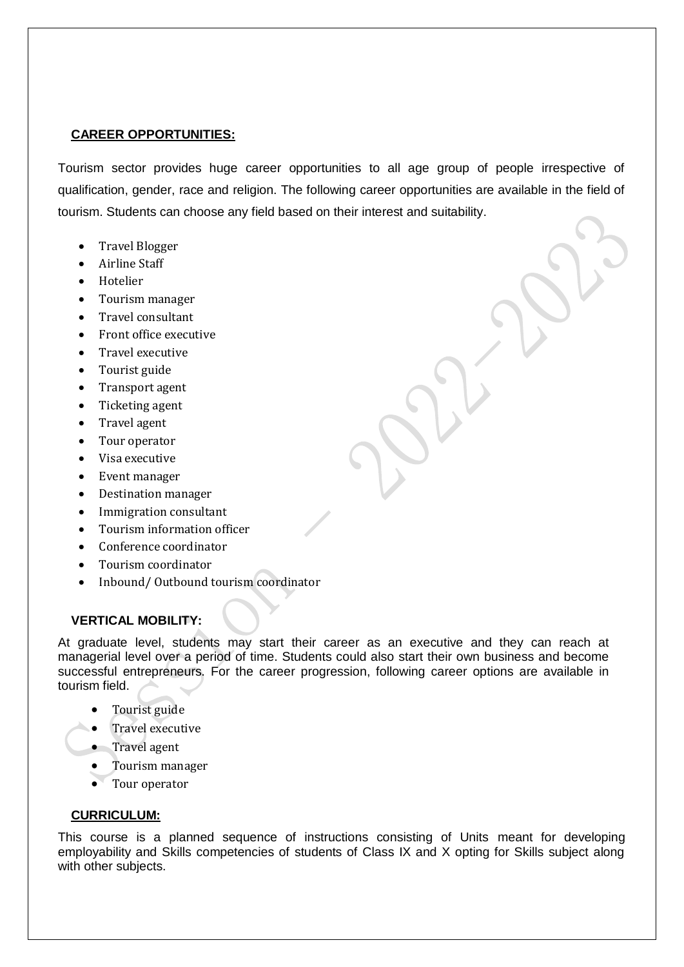# **CAREER OPPORTUNITIES:**

Tourism sector provides huge career opportunities to all age group of people irrespective of qualification, gender, race and religion. The following career opportunities are available in the field of tourism. Students can choose any field based on their interest and suitability.

- Travel Blogger
- Airline Staff
- Hotelier
- Tourism manager
- Travel consultant
- Front office executive
- Travel executive
- Tourist guide
- Transport agent
- Ticketing agent
- Travel agent
- Tour operator
- Visa executive
- Event manager
- Destination manager
- Immigration consultant
- Tourism information officer
- Conference coordinator
- Tourism coordinator
- Inbound/ Outbound tourism coordinator

## **VERTICAL MOBILITY:**

At graduate level, students may start their career as an executive and they can reach at managerial level over a period of time. Students could also start their own business and become successful entrepreneurs. For the career progression, following career options are available in tourism field.

- Tourist guide
- Travel executive
- Travel agent
- Tourism manager
- Tour operator

## **CURRICULUM:**

This course is a planned sequence of instructions consisting of Units meant for developing employability and Skills competencies of students of Class IX and X opting for Skills subject along with other subjects.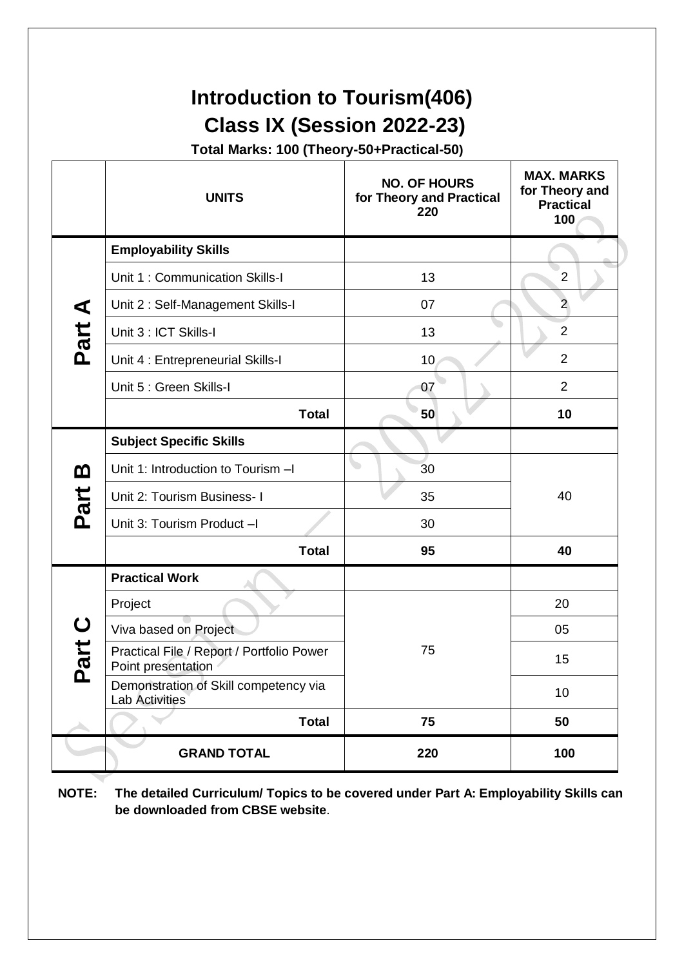# **Introduction to Tourism(406) Class IX (Session 2022-23)**

**Total Marks: 100 (Theory-50+Practical-50)**

|                                | <b>UNITS</b>                                                    | <b>NO. OF HOURS</b><br>for Theory and Practical<br>220 | <b>MAX. MARKS</b><br>for Theory and<br><b>Practical</b><br>100 |
|--------------------------------|-----------------------------------------------------------------|--------------------------------------------------------|----------------------------------------------------------------|
|                                | <b>Employability Skills</b>                                     |                                                        |                                                                |
|                                | Unit 1: Communication Skills-I                                  | 13                                                     | $\overline{2}$                                                 |
|                                | Unit 2: Self-Management Skills-I                                | 07                                                     | $\overline{a}$                                                 |
| Part A                         | Unit 3 : ICT Skills-I                                           | 13                                                     | $\overline{2}$                                                 |
|                                | Unit 4 : Entrepreneurial Skills-I                               | 10                                                     | $\overline{2}$                                                 |
|                                | Unit 5 : Green Skills-I                                         | 07                                                     | $\overline{2}$                                                 |
|                                | <b>Total</b>                                                    | 50                                                     | 10                                                             |
|                                | <b>Subject Specific Skills</b>                                  |                                                        |                                                                |
| <u>ന</u>                       | Unit 1: Introduction to Tourism -I                              | 30                                                     |                                                                |
|                                | Unit 2: Tourism Business- I                                     | 35                                                     | 40                                                             |
| Part                           | Unit 3: Tourism Product -I                                      | 30                                                     |                                                                |
|                                | <b>Total</b>                                                    | 95                                                     | 40                                                             |
|                                | <b>Practical Work</b>                                           |                                                        |                                                                |
| $\mathbf C$<br>art<br><u>ռ</u> | Project                                                         |                                                        | 20                                                             |
|                                | Viva based on Project                                           |                                                        | 05                                                             |
|                                | Practical File / Report / Portfolio Power<br>Point presentation | 75                                                     | 15                                                             |
|                                | Demonstration of Skill competency via<br><b>Lab Activities</b>  |                                                        | 10                                                             |
|                                | <b>Total</b>                                                    | 75                                                     | 50                                                             |
|                                | <b>GRAND TOTAL</b>                                              | 220                                                    | 100                                                            |

**NOTE: The detailed Curriculum/ Topics to be covered under Part A: Employability Skills can be downloaded from CBSE website**.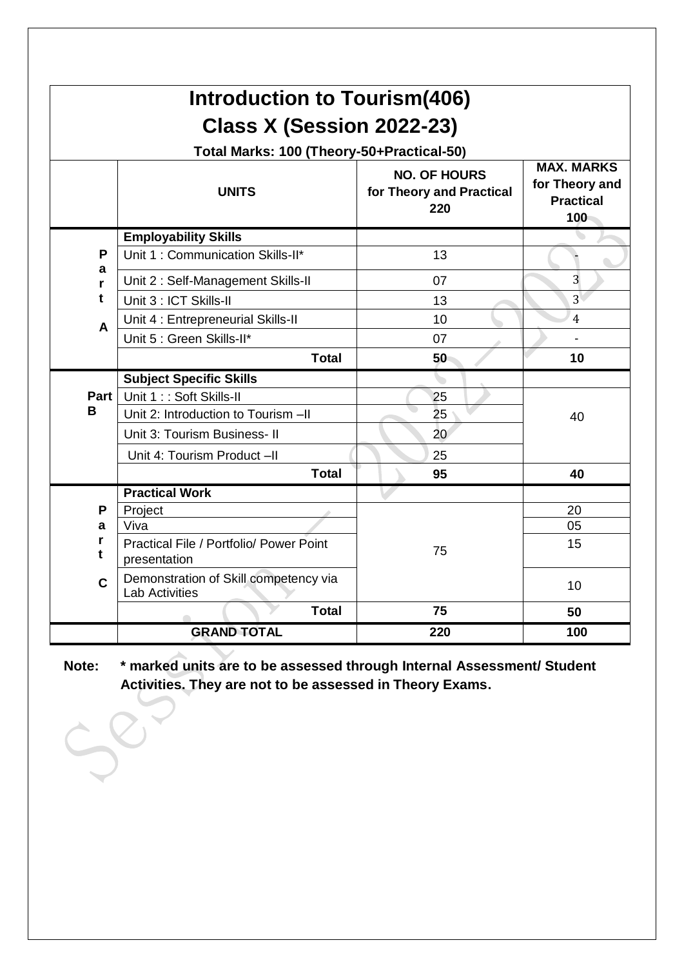| <b>Introduction to Tourism(406)</b> |                                                                |                                                        |                                                                |  |
|-------------------------------------|----------------------------------------------------------------|--------------------------------------------------------|----------------------------------------------------------------|--|
|                                     | Class X (Session 2022-23)                                      |                                                        |                                                                |  |
|                                     | Total Marks: 100 (Theory-50+Practical-50)                      |                                                        |                                                                |  |
|                                     | <b>UNITS</b>                                                   | <b>NO. OF HOURS</b><br>for Theory and Practical<br>220 | <b>MAX. MARKS</b><br>for Theory and<br><b>Practical</b><br>100 |  |
|                                     | <b>Employability Skills</b>                                    |                                                        |                                                                |  |
| P                                   | Unit 1: Communication Skills-II*                               | 13                                                     |                                                                |  |
| a<br>r                              | Unit 2: Self-Management Skills-II                              | 07                                                     | 3                                                              |  |
| t                                   | Unit 3 : ICT Skills-II                                         | 13                                                     | 3 <sup>1</sup>                                                 |  |
| A                                   | Unit 4 : Entrepreneurial Skills-II                             | 10                                                     | $\overline{4}$                                                 |  |
|                                     | Unit 5 : Green Skills-II*                                      | 07                                                     |                                                                |  |
|                                     | <b>Total</b>                                                   | 50                                                     | 10                                                             |  |
|                                     | <b>Subject Specific Skills</b>                                 |                                                        |                                                                |  |
| Part                                | Unit 1:: Soft Skills-II                                        | 25                                                     |                                                                |  |
| B                                   | Unit 2: Introduction to Tourism -II                            | 25                                                     | 40                                                             |  |
|                                     | Unit 3: Tourism Business- II                                   | 20                                                     |                                                                |  |
|                                     | Unit 4: Tourism Product -II                                    | 25                                                     |                                                                |  |
|                                     | <b>Total</b>                                                   | 95                                                     | 40                                                             |  |
|                                     | <b>Practical Work</b>                                          |                                                        |                                                                |  |
| P                                   | Project                                                        |                                                        | 20                                                             |  |
| a                                   | Viva                                                           |                                                        | 05                                                             |  |
| t                                   | Practical File / Portfolio/ Power Point<br>presentation        | 75                                                     | 15                                                             |  |
| $\mathbf c$                         | Demonstration of Skill competency via<br><b>Lab Activities</b> |                                                        | 10                                                             |  |
|                                     | <b>Total</b>                                                   | 75                                                     | 50                                                             |  |
|                                     | <b>GRAND TOTAL</b>                                             | 220                                                    | 100                                                            |  |

**Note: \* marked units are to be assessed through Internal Assessment/ Student Activities. They are not to be assessed in Theory Exams.**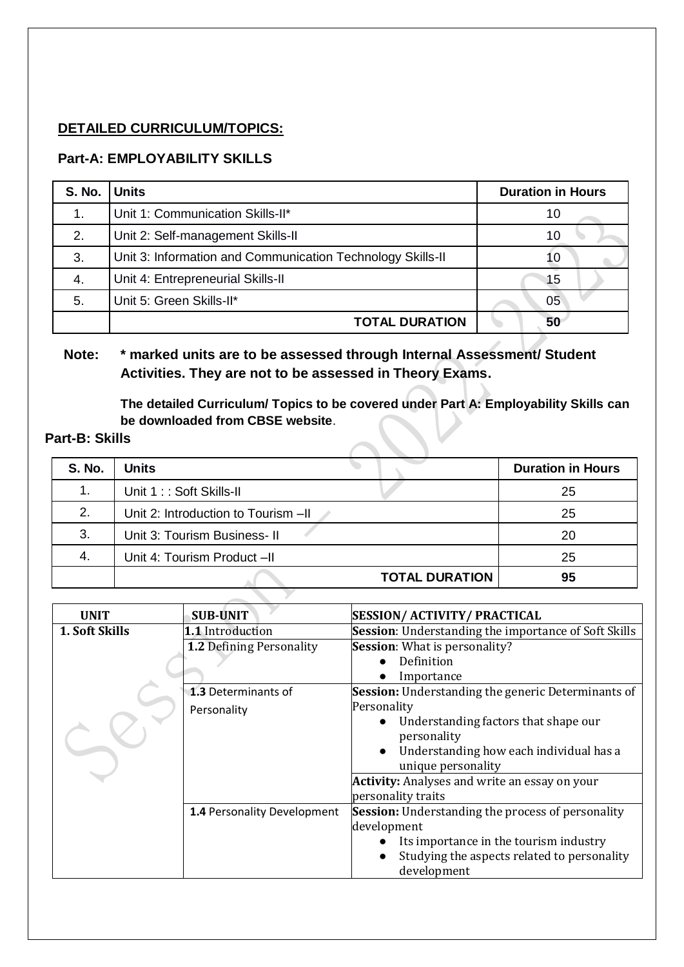# **DETAILED CURRICULUM/TOPICS:**

# **Part-A: EMPLOYABILITY SKILLS**

| S. No. | <b>Units</b>                                               | <b>Duration in Hours</b> |  |
|--------|------------------------------------------------------------|--------------------------|--|
| 1.     | Unit 1: Communication Skills-II*                           | 10                       |  |
| 2.     | Unit 2: Self-management Skills-II                          | 10                       |  |
| 3.     | Unit 3: Information and Communication Technology Skills-II | 10                       |  |
| 4.     | Unit 4: Entrepreneurial Skills-II                          | 15                       |  |
| 5.     | Unit 5: Green Skills-II*                                   | 05                       |  |
|        | <b>TOTAL DURATION</b>                                      | 50                       |  |

# **Note: \* marked units are to be assessed through Internal Assessment/ Student Activities. They are not to be assessed in Theory Exams.**

**The detailed Curriculum/ Topics to be covered under Part A: Employability Skills can be downloaded from CBSE website**.

# **Part-B: Skills**

| <b>S. No.</b> | <b>Units</b>                        | <b>Duration in Hours</b> |
|---------------|-------------------------------------|--------------------------|
| 1.            | Unit 1:: Soft Skills-II             | 25                       |
| 2.            | Unit 2: Introduction to Tourism -II | 25                       |
| 3.            | Unit 3: Tourism Business-II         | 20                       |
| 4.            | Unit 4: Tourism Product -II         | 25                       |
|               | <b>TOTAL DURATION</b>               | 95                       |

**X** 

| <b>UNIT</b>                        | <b>SUB-UNIT</b>                 | <b>SESSION/ ACTIVITY/ PRACTICAL</b>                         |
|------------------------------------|---------------------------------|-------------------------------------------------------------|
| 1. Soft Skills<br>1.1 Introduction |                                 | <b>Session:</b> Understanding the importance of Soft Skills |
|                                    | <b>1.2 Defining Personality</b> | <b>Session:</b> What is personality?                        |
|                                    |                                 | Definition                                                  |
|                                    |                                 | Importance                                                  |
|                                    | 1.3 Determinants of             | Session: Understanding the generic Determinants of          |
|                                    | Personality                     | Personality                                                 |
|                                    |                                 | Understanding factors that shape our                        |
|                                    |                                 | personality                                                 |
|                                    |                                 | Understanding how each individual has a                     |
|                                    |                                 | unique personality                                          |
|                                    |                                 | <b>Activity:</b> Analyses and write an essay on your        |
|                                    |                                 | personality traits                                          |
|                                    | 1.4 Personality Development     | Session: Understanding the process of personality           |
|                                    |                                 | development                                                 |
|                                    |                                 | Its importance in the tourism industry                      |
|                                    |                                 | Studying the aspects related to personality                 |
|                                    |                                 | development                                                 |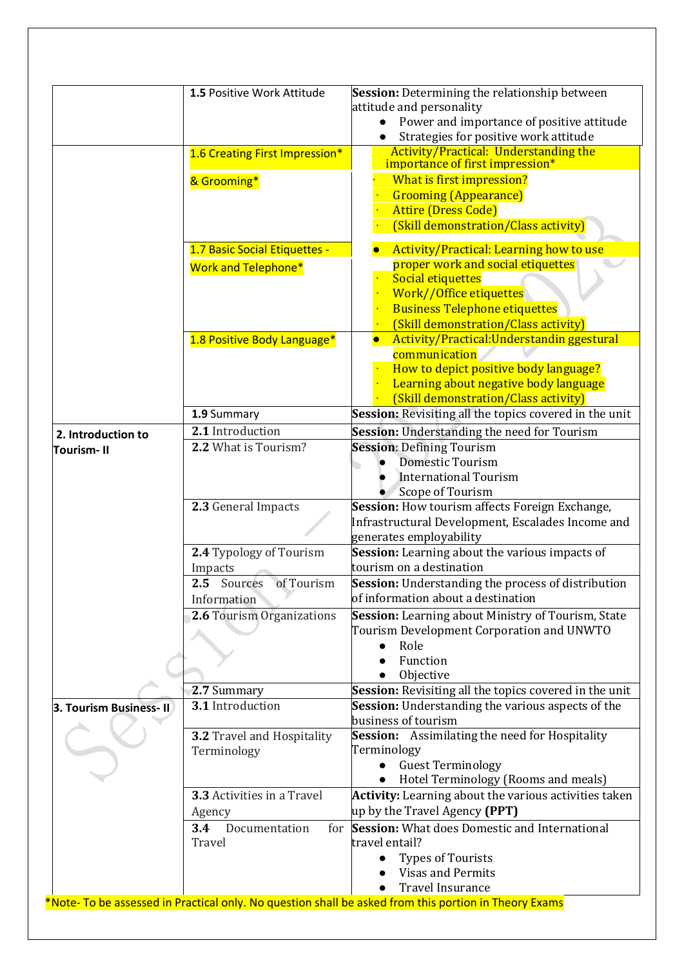|                        | 1.5 Positive Work Attitude      | <b>Session:</b> Determining the relationship between                                                 |
|------------------------|---------------------------------|------------------------------------------------------------------------------------------------------|
|                        |                                 | attitude and personality                                                                             |
|                        |                                 | Power and importance of positive attitude                                                            |
|                        |                                 | Strategies for positive work attitude                                                                |
|                        | 1.6 Creating First Impression*  | <b>Activity/Practical: Understanding the</b><br>importance of first impression*                      |
|                        |                                 |                                                                                                      |
|                        | & Grooming*                     | What is first impression?                                                                            |
|                        |                                 | <b>Grooming (Appearance)</b><br><b>Attire (Dress Code)</b>                                           |
|                        |                                 | (Skill demonstration/Class activity)                                                                 |
|                        | 1.7 Basic Social Etiquettes -   | <b>Activity/Practical: Learning how to use</b>                                                       |
|                        | <b>Work and Telephone*</b>      | proper work and social etiquettes                                                                    |
|                        |                                 | <b>Social etiquettes</b>                                                                             |
|                        |                                 | Work//Office etiquettes                                                                              |
|                        |                                 | <b>Business Telephone etiquettes</b>                                                                 |
|                        |                                 | (Skill demonstration/Class activity)                                                                 |
|                        | 1.8 Positive Body Language*     | Activity/Practical:Understandin ggestural<br>$\bullet$                                               |
|                        |                                 | communication                                                                                        |
|                        |                                 | How to depict positive body language?                                                                |
|                        |                                 | Learning about negative body language                                                                |
|                        |                                 | (Skill demonstration/Class activity)                                                                 |
|                        | 1.9 Summary                     | Session: Revisiting all the topics covered in the unit                                               |
| 2. Introduction to     | 2.1 Introduction                | Session: Understanding the need for Tourism                                                          |
| <b>Tourism-II</b>      | 2.2 What is Tourism?            | <b>Session: Defining Tourism</b><br><b>Domestic Tourism</b>                                          |
|                        |                                 | <b>International Tourism</b>                                                                         |
|                        |                                 | Scope of Tourism                                                                                     |
|                        | 2.3 General Impacts             | Session: How tourism affects Foreign Exchange,                                                       |
|                        |                                 | Infrastructural Development, Escalades Income and                                                    |
|                        |                                 | generates employability                                                                              |
|                        | 2.4 Typology of Tourism         | Session: Learning about the various impacts of                                                       |
|                        | Impacts                         | tourism on a destination                                                                             |
|                        | of Tourism<br>2.5 Sources       | <b>Session:</b> Understanding the process of distribution                                            |
|                        | Information                     | of information about a destination                                                                   |
|                        | 2.6 Tourism Organizations       | Session: Learning about Ministry of Tourism, State                                                   |
|                        |                                 | Tourism Development Corporation and UNWTO                                                            |
|                        |                                 | Role                                                                                                 |
|                        |                                 | Function                                                                                             |
|                        |                                 | Objective                                                                                            |
|                        | 2.7 Summary<br>3.1 Introduction | Session: Revisiting all the topics covered in the unit                                               |
| 3. Tourism Business-II |                                 | <b>Session:</b> Understanding the various aspects of the<br>business of tourism                      |
|                        | 3.2 Travel and Hospitality      | <b>Session:</b> Assimilating the need for Hospitality                                                |
|                        | Terminology                     | Terminology                                                                                          |
|                        |                                 | <b>Guest Terminology</b><br>$\bullet$                                                                |
|                        |                                 | Hotel Terminology (Rooms and meals)                                                                  |
|                        | 3.3 Activities in a Travel      | Activity: Learning about the various activities taken                                                |
|                        | Agency                          | up by the Travel Agency (PPT)                                                                        |
|                        | 3.4<br>Documentation<br>for     | <b>Session:</b> What does Domestic and International                                                 |
|                        | Travel                          | travel entail?                                                                                       |
|                        |                                 | <b>Types of Tourists</b>                                                                             |
|                        |                                 | <b>Visas and Permits</b>                                                                             |
|                        |                                 | <b>Travel Insurance</b>                                                                              |
|                        |                                 | *Note-To be assessed in Practical only. No question shall be asked from this portion in Theory Exams |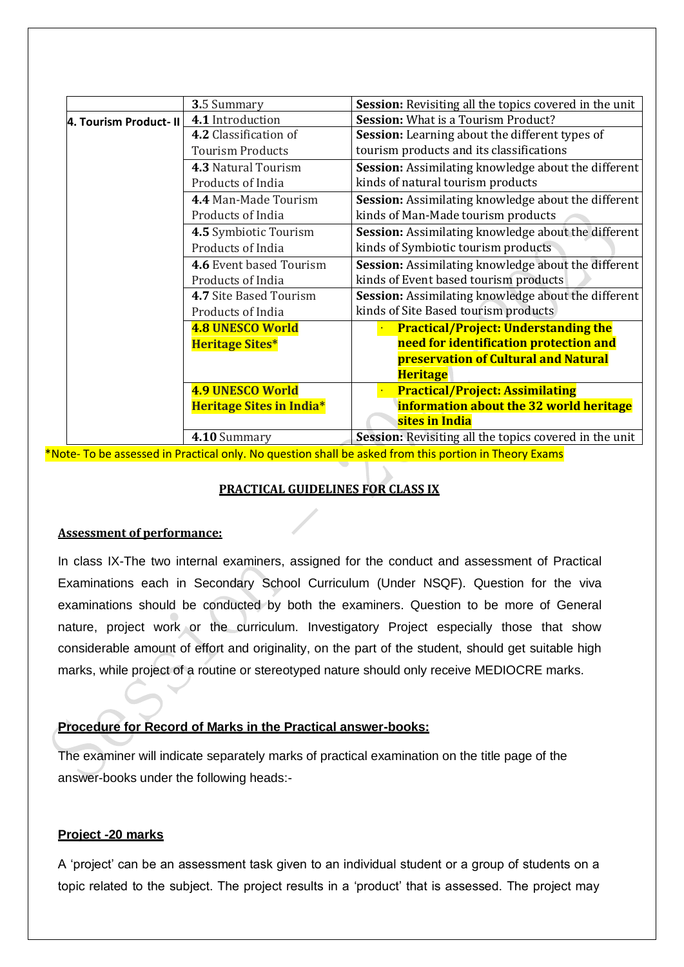|                         | 3.5 Summary                     | <b>Session:</b> Revisiting all the topics covered in the unit |  |
|-------------------------|---------------------------------|---------------------------------------------------------------|--|
| 4. Tourism Product- II  | 4.1 Introduction                | <b>Session:</b> What is a Tourism Product?                    |  |
|                         | 4.2 Classification of           | Session: Learning about the different types of                |  |
| <b>Tourism Products</b> |                                 | tourism products and its classifications                      |  |
|                         | 4.3 Natural Tourism             | Session: Assimilating knowledge about the different           |  |
|                         | Products of India               | kinds of natural tourism products                             |  |
|                         | 4.4 Man-Made Tourism            | Session: Assimilating knowledge about the different           |  |
|                         | Products of India               | kinds of Man-Made tourism products                            |  |
|                         | 4.5 Symbiotic Tourism           | Session: Assimilating knowledge about the different           |  |
|                         | Products of India               | kinds of Symbiotic tourism products                           |  |
|                         | 4.6 Event based Tourism         | Session: Assimilating knowledge about the different           |  |
|                         | Products of India               | kinds of Event based tourism products                         |  |
|                         | 4.7 Site Based Tourism          | <b>Session:</b> Assimilating knowledge about the different    |  |
|                         | Products of India               | kinds of Site Based tourism products                          |  |
|                         | <b>4.8 UNESCO World</b>         | <b>Practical/Project: Understanding the</b>                   |  |
|                         | <b>Heritage Sites*</b>          | need for identification protection and                        |  |
|                         |                                 | <b>preservation of Cultural and Natural</b>                   |  |
|                         |                                 | <b>Heritage</b>                                               |  |
|                         | <b>4.9 UNESCO World</b>         | <b>Practical/Project: Assimilating</b>                        |  |
|                         | <b>Heritage Sites in India*</b> | information about the 32 world heritage                       |  |
|                         |                                 | sites in India                                                |  |
|                         | 4.10 Summary                    | <b>Session:</b> Revisiting all the topics covered in the unit |  |

\*Note- To be assessed in Practical only. No question shall be asked from this portion in Theory Exams

# **PRACTICAL GUIDELINES FOR CLASS IX**

## **Assessment of performance:**

In class IX-The two internal examiners, assigned for the conduct and assessment of Practical Examinations each in Secondary School Curriculum (Under NSQF). Question for the viva examinations should be conducted by both the examiners. Question to be more of General nature, project work or the curriculum. Investigatory Project especially those that show considerable amount of effort and originality, on the part of the student, should get suitable high marks, while project of a routine or stereotyped nature should only receive MEDIOCRE marks.

# **Procedure for Record of Marks in the Practical answer-books:**

The examiner will indicate separately marks of practical examination on the title page of the answer-books under the following heads:-

# **Project -20 marks**

A 'project' can be an assessment task given to an individual student or a group of students on a topic related to the subject. The project results in a 'product' that is assessed. The project may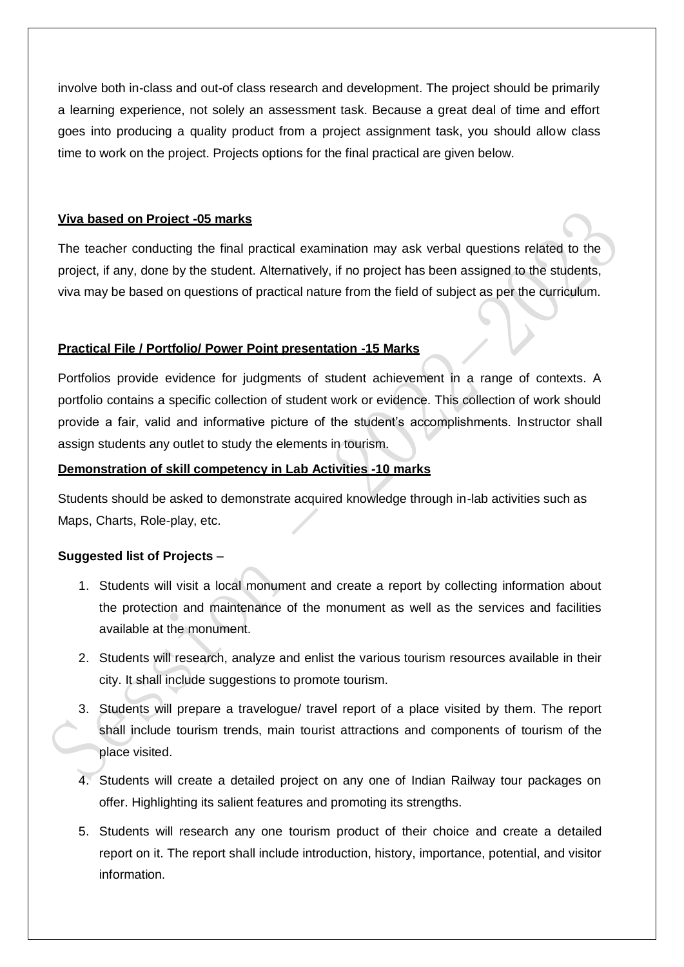involve both in-class and out-of class research and development. The project should be primarily a learning experience, not solely an assessment task. Because a great deal of time and effort goes into producing a quality product from a project assignment task, you should allow class time to work on the project. Projects options for the final practical are given below.

# **Viva based on Project -05 marks**

The teacher conducting the final practical examination may ask verbal questions related to the project, if any, done by the student. Alternatively, if no project has been assigned to the students, viva may be based on questions of practical nature from the field of subject as per the curriculum.

# **Practical File / Portfolio/ Power Point presentation -15 Marks**

Portfolios provide evidence for judgments of student achievement in a range of contexts. A portfolio contains a specific collection of student work or evidence. This collection of work should provide a fair, valid and informative picture of the student's accomplishments. Instructor shall assign students any outlet to study the elements in tourism.

# **Demonstration of skill competency in Lab Activities -10 marks**

Students should be asked to demonstrate acquired knowledge through in-lab activities such as Maps, Charts, Role-play, etc.

# **Suggested list of Projects** –

- 1. Students will visit a local monument and create a report by collecting information about the protection and maintenance of the monument as well as the services and facilities available at the monument.
- 2. Students will research, analyze and enlist the various tourism resources available in their city. It shall include suggestions to promote tourism.
- 3. Students will prepare a travelogue/ travel report of a place visited by them. The report shall include tourism trends, main tourist attractions and components of tourism of the place visited.
- 4. Students will create a detailed project on any one of Indian Railway tour packages on offer. Highlighting its salient features and promoting its strengths.
- 5. Students will research any one tourism product of their choice and create a detailed report on it. The report shall include introduction, history, importance, potential, and visitor information.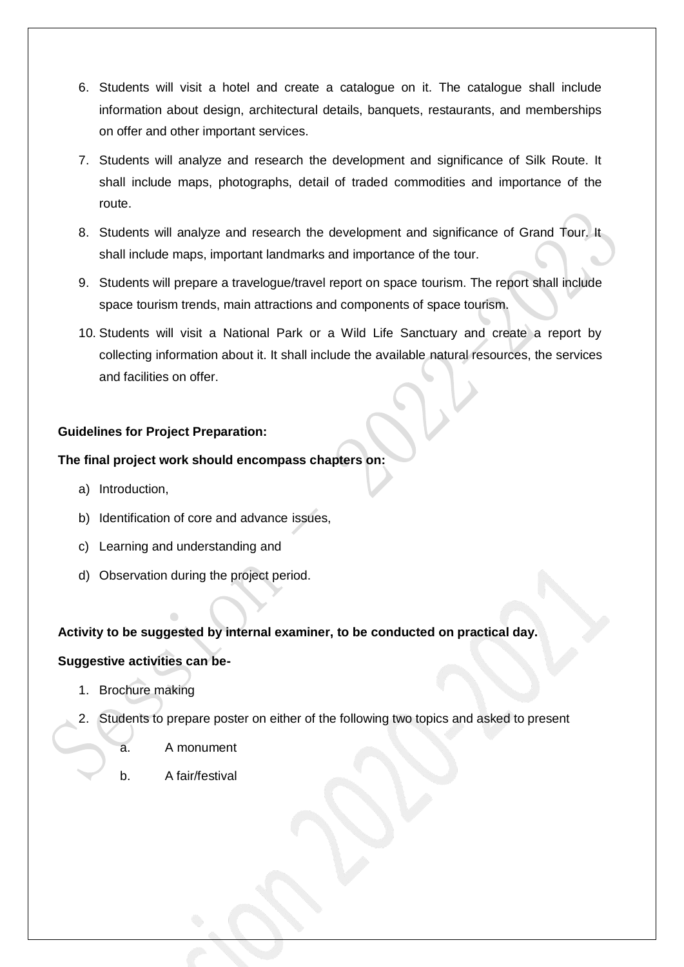- 6. Students will visit a hotel and create a catalogue on it. The catalogue shall include information about design, architectural details, banquets, restaurants, and memberships on offer and other important services.
- 7. Students will analyze and research the development and significance of Silk Route. It shall include maps, photographs, detail of traded commodities and importance of the route.
- 8. Students will analyze and research the development and significance of Grand Tour. It shall include maps, important landmarks and importance of the tour.
- 9. Students will prepare a travelogue/travel report on space tourism. The report shall include space tourism trends, main attractions and components of space tourism.
- 10. Students will visit a National Park or a Wild Life Sanctuary and create a report by collecting information about it. It shall include the available natural resources, the services and facilities on offer.

# **Guidelines for Project Preparation:**

## **The final project work should encompass chapters on:**

- a) Introduction,
- b) Identification of core and advance issues,
- c) Learning and understanding and
- d) Observation during the project period.

## **Activity to be suggested by internal examiner, to be conducted on practical day.**

## **Suggestive activities can be-**

- 1. Brochure making
- 2. Students to prepare poster on either of the following two topics and asked to present
	- a. A monument
	- b. A fair/festival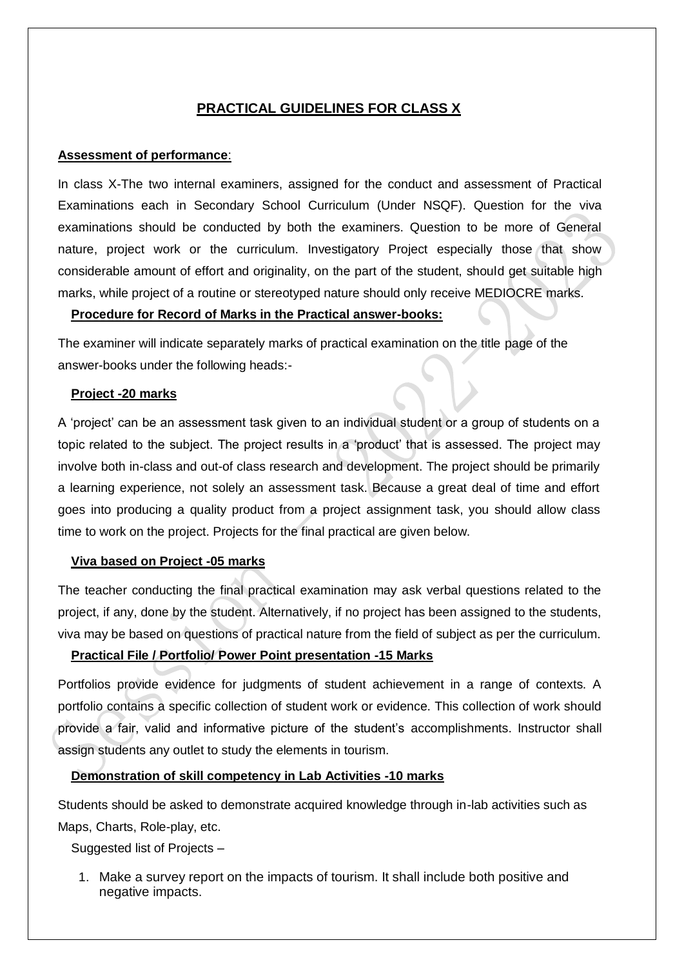# **PRACTICAL GUIDELINES FOR CLASS X**

## **Assessment of performance**:

In class X-The two internal examiners, assigned for the conduct and assessment of Practical Examinations each in Secondary School Curriculum (Under NSQF). Question for the viva examinations should be conducted by both the examiners. Question to be more of General nature, project work or the curriculum. Investigatory Project especially those that show considerable amount of effort and originality, on the part of the student, should get suitable high marks, while project of a routine or stereotyped nature should only receive MEDIOCRE marks.

## **Procedure for Record of Marks in the Practical answer-books:**

The examiner will indicate separately marks of practical examination on the title page of the answer-books under the following heads:-

## **Project -20 marks**

A 'project' can be an assessment task given to an individual student or a group of students on a topic related to the subject. The project results in a 'product' that is assessed. The project may involve both in-class and out-of class research and development. The project should be primarily a learning experience, not solely an assessment task. Because a great deal of time and effort goes into producing a quality product from a project assignment task, you should allow class time to work on the project. Projects for the final practical are given below.

## **Viva based on Project -05 marks**

The teacher conducting the final practical examination may ask verbal questions related to the project, if any, done by the student. Alternatively, if no project has been assigned to the students, viva may be based on questions of practical nature from the field of subject as per the curriculum.

## **Practical File / Portfolio/ Power Point presentation -15 Marks**

Portfolios provide evidence for judgments of student achievement in a range of contexts. A portfolio contains a specific collection of student work or evidence. This collection of work should provide a fair, valid and informative picture of the student's accomplishments. Instructor shall assign students any outlet to study the elements in tourism.

## **Demonstration of skill competency in Lab Activities -10 marks**

Students should be asked to demonstrate acquired knowledge through in-lab activities such as Maps, Charts, Role-play, etc.

Suggested list of Projects –

1. Make a survey report on the impacts of tourism. It shall include both positive and negative impacts.